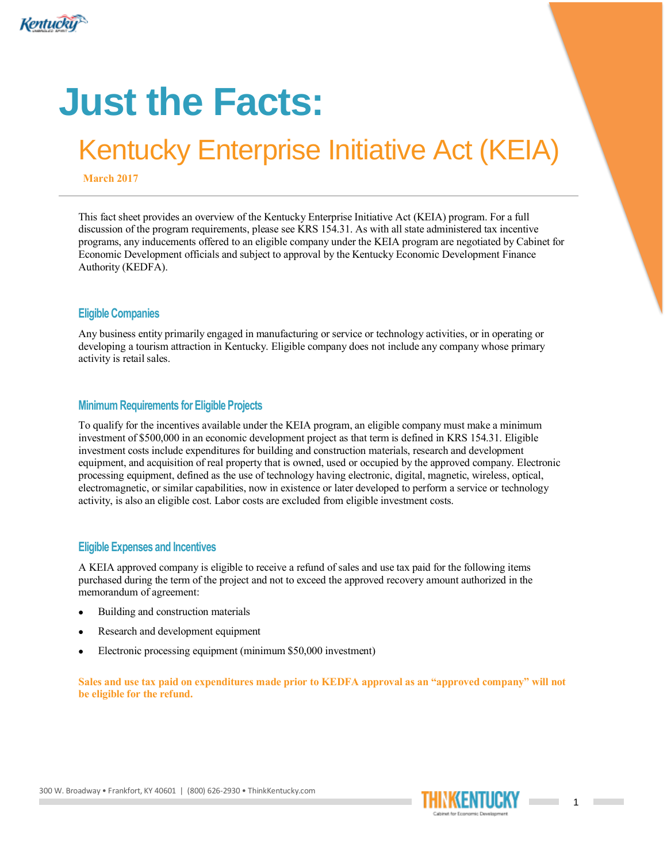

# **Just the Facts:**

## Kentucky Enterprise Initiative Act (KEIA)

March 2017

**This fact sheet provides an overview of the Kentucky Enterprise Initiative Act (KEIA) program. For a full discussion of the program requirements, please see KRS 154.31. As with all state administered tax incentive programs, any inducements offered to an eligible company under the KEIA program are negotiated by Cabinet for Economic Development officials and subject to approval by the Kentucky Economic Development Finance Authority (KEDFA).**

#### **Eligible Companies**

**Any business entity primarily engaged in manufacturing or service or technology activities, or in operating or developing a tourism attraction in Kentucky. Eligible company does not include any company whose primary activity is retail sales.**

#### **Minimum Requirements for Eligible Projects**

**To qualify for the incentives available under the KEIA program, an eligible company must make a minimum investment of \$500,000 in an economic development project as that term is defined in KRS 154.31. Eligible investment costs include expenditures for building and construction materials, research and development equipment, and acquisition of real property that is owned, used or occupied by the approved company. Electronic processing equipment, defined as the use of technology having electronic, digital, magnetic, wireless, optical, electromagnetic, or similar capabilities, now in existence or later developed to perform a service or technology activity, is also an eligible cost. Labor costs are excluded from eligible investment costs.**

#### **Eligible Expenses and Incentives**

**A KEIA approved company is eligible to receive a refund of sales and use tax paid for the following items purchased during the term of the project and not to exceed the approved recovery amount authorized in the memorandum of agreement:**

- **Building and construction materials**
- **Research and development equipment**
- **Electronic processing equipment (minimum \$50,000 investment)**

Sales and use tax paid on expenditures made prior to KEDFA approval as an "approved company" will not be eligible for the refund.